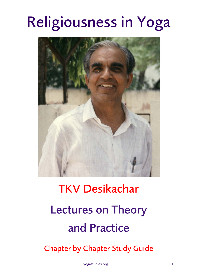## Religiousness in Yoga



# TKV Desikachar Lectures on Theory and Practice

Chapter by Chapter Study Guide

yogastudies.org 1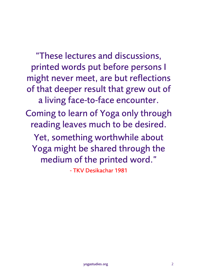"These lectures and discussions, printed words put before persons I might never meet, are but reflections of that deeper result that grew out of a living face-to-face encounter. Coming to learn of Yoga only through

reading leaves much to be desired.

Yet, something worthwhile about Yoga might be shared through the medium of the printed word."

- TKV Desikachar 1981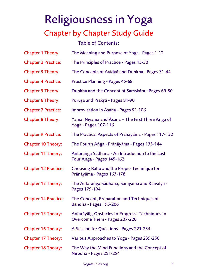Table of Contents:

| <b>Chapter 1 Theory:</b>    | The Meaning and Purpose of Yoga - Pages 1-12                                     |
|-----------------------------|----------------------------------------------------------------------------------|
| <b>Chapter 2 Practice:</b>  | The Principles of Practice - Pages 13-30                                         |
| <b>Chapter 3 Theory:</b>    | The Concepts of Avidya and Duḥkha - Pages 31-44                                  |
| <b>Chapter 4 Practice:</b>  | <b>Practice Planning - Pages 45-68</b>                                           |
| <b>Chapter 5 Theory:</b>    | Duḥkha and the Concept of Saṃskāra - Pages 69-80                                 |
| <b>Chapter 6 Theory:</b>    | Purușa and Prakrti - Pages 81-90                                                 |
| <b>Chapter 7 Practice:</b>  | <b>Improvisation in Asana - Pages 91-106</b>                                     |
| <b>Chapter 8 Theory:</b>    | Yama, Niyama and Asana - The First Three Anga of<br>Yoga - Pages 107-116         |
| <b>Chapter 9 Practice:</b>  | The Practical Aspects of Prāņāyāma - Pages 117-132                               |
| <b>Chapter 10 Theory:</b>   | The Fourth Anga - Prāņāyāma - Pages 133-144                                      |
| <b>Chapter 11 Theory:</b>   | Antaranga Sādhana - An Introduction to the Last<br>Four Anga - Pages 145-162     |
| <b>Chapter 12 Practice:</b> | Choosing Ratio and the Proper Technique for<br>Prāņāyāma - Pages 163-178         |
| <b>Chapter 13 Theory:</b>   | The Antaranga Sādhana, Saṃyama and Kaivalya -<br>Pages 179-194                   |
| <b>Chapter 14 Practice:</b> | The Concept, Preparation and Techniques of<br><b>Bandha - Pages 195-206</b>      |
| <b>Chapter 15 Theory:</b>   | Antarāyāḥ, Obstacles to Progress; Techniques to<br>Overcome Them - Pages 207-220 |
| <b>Chapter 16 Theory:</b>   | A Session for Questions - Pages 221-234                                          |
| <b>Chapter 17 Theory:</b>   | Various Approaches to Yoga - Pages 235-250                                       |
| <b>Chapter 18 Theory:</b>   | The Way the Mind Functions and the Concept of<br>Nirodha - Pages 251-254         |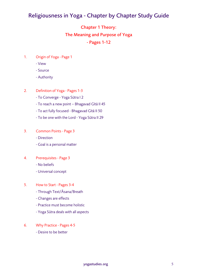## Chapter 1 Theory: The Meaning and Purpose of Yoga

### - Pages 1-12

- 1. Origin of Yoga Page 1
	- View
	- Source
	- Authority
- 2. Definition of Yoga Pages 1-3
	- To Converge Yoga Sūtra I 2
	- To reach a new point Bhagavad Gītā II 45
	- To act fully focused Bhagavad Gītā II 50
	- To be one with the Lord Yoga Sūtra II 29
- 3. Common Points Page 3
	- Direction
	- Goal is a personal matter
- 4. Prerequisites Page 3
	- No beliefs
	- Universal concept
- 5. How to Start Pages 3-4
	- Through Text/Āsana/Breath
	- Changes are effects
	- Practice must become holistic
	- Yoga Sūtra deals with all aspects
- 6. Why Practice Pages 4-5
	- Desire to be better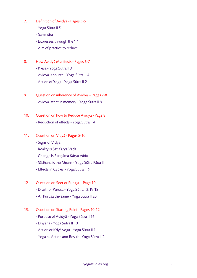- 7. Definition of Avidyā Pages 5-6
	- Yoga Sūtra II 5
	- Saṃskāra
	- Expresses through the "I"
	- Aim of practice to reduce
- 8. How Avidyā Manifests Pages 6-7
	- Kleśa Yoga Sūtra II 3
	- Avidyā is source Yoga Sūtra II 4
	- Action of Yoga Yoga Sūtra II 2
- 9. Question on inherence of Avidyā Pages 7-8 - Avidyā latent in memory - Yoga Sūtra II 9
- 10. Question on how to Reduce Avidyā Page 8 - Reduction of effects - Yoga Sūtra II 4
- 11. Question on Vidyā Pages 8-10
	- Signs of Vidyā
	- Reality is Sat Kārya Vāda
	- Change is Pariṇāma Kārya Vāda
	- Sādhana is the Means Yoga Sūtra Pāda II
	- Effects in Cycles Yoga Sūtra III 9
- 12. Question on Seer or Puruṣa Page 10
	- Draștr or Purușa Yoga Sūtra I 3, IV 18
	- All Puruṣa the same Yoga Sūtra II 20
- 13. Question on Starting Point Pages 10-12
	- Purpose of Avidyā Yoga Sūtra II 16
	- Dhyāna Yoga Sūtra II 10
	- Action or Kriyā yoga Yoga Sūtra II 1
	- Yoga as Action and Result Yoga Sūtra II 2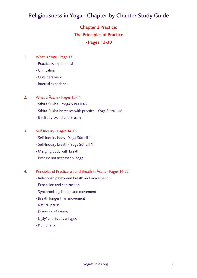## Chapter 2 Practice: The Principles of Practice - Pages 13-30

- 1. What is Yoga Page 13
	- Practice is experiential
	- Unification
	- Outsiders view
	- Internal experience
- 2. What is Āsana Pages 13-14
	- Sthira-Sukha Yoga Sūtra II 46
	- Sthira-Sukha increases with practice Yoga Sūtra II 46
	- It is Body, Mind and Breath
- 3. Self-Inquiry Pages 14-16
	- Self-Inquiry body Yoga Sūtra II 1
	- Self-Inquiry breath Yoga Sūtra II 1
	- Merging body with breath
	- Posture not necessarily Yoga
- 4. Principles of Practice around Breath in Āsana Pages 16-22
	- Relationship between breath and movement
	- Expansion and contraction
	- Synchronising breath and movement
	- Breath longer than movement
	- Natural pause
	- Direction of breath
	- Ujjāyī and its advantages
	- Kumbhaka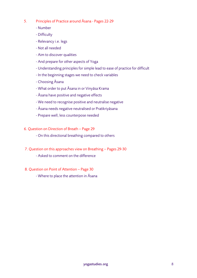- 5. Principles of Practice around Āsana Pages 22-29
	- Number
	- Difficulty
	- Relevancy i.e. legs
	- Not all needed
	- Aim to discover qualities
	- And prepare for other aspects of Yoga
	- Understanding principles for simple lead to ease of practice for difficult
	- In the beginning stages we need to check variables
	- Choosing Āsana
	- What order to put Āsana in or Vinyāsa Krama
	- Āsana have positive and negative effects
	- We need to recognise positive and neutralise negative
	- Āsana needs negative neutralised or Pratikriyāsana
	- Prepare well, less counterpose needed
- 6. Question on Direction of Breath Page 29
	- On this directional breathing compared to others
- 7. Question on this approaches view on Breathing Pages 29-30
	- Asked to comment on the difference
- 8. Question on Point of Attention Page 30
	- Where to place the attention in Āsana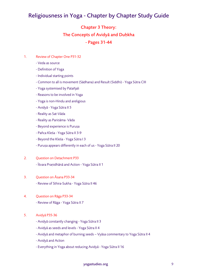#### Chapter 3 Theory:

#### The Concepts of Avidyā and Duḥkha

#### - Pages 31-44

- 1. Review of Chapter One P31-32
	- Veda as source
	- Definition of Yoga
	- Individual starting points
	- Common to all is movement (Sādhana) and Result (Siddhi) Yoga Sūtra CIII
	- Yoga systemised by Patañjali
	- Reasons to be involved in Yoga
	- Yoga is non-Hindu and areligious
	- Avidyā Yoga Sūtra II 5
	- Reality as Sat-Vāda
	- Reality as Pariṇāma- Vāda
	- Beyond experience is Puruṣa
	- Pañca Kleśa Yoga Sūtra II 3-9
	- Beyond the Kleśa Yoga Sūtra I 3
	- Puruṣa appears differently in each of us Yoga Sūtra II 20

#### 2. Question on Detachment P33

- Īśvara Praṇidhānā and Action - Yoga Sūtra II 1

#### 3. Question on Āsana P33-34

- Review of Sthira-Sukha - Yoga Sūtra II 46

- 4. Question on Rāga P33-34
	- Review of Rāga Yoga Sūtra II 7

#### 5. Avidyā P35-36

- Avidyā constantly changing Yoga Sūtra II 3
- Avidyā as seeds and levels Yoga Sūtra II 4
- Avidyā and metaphor of burning seeds Vyāsa commentary to Yoga Sūtra II 4
- Avidyā and Action
- Everything in Yoga about reducing Avidyā Yoga Sūtra II 16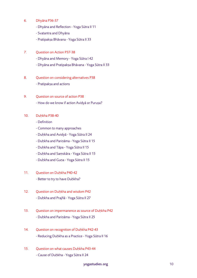- 6. Dhyāna P36-37
	- Dhyāna and Reflection Yoga Sūtra II 11
	- Svatantra and Dhyāna
	- Pratipakṣa Bhāvana Yoga Sūtra II 33
- 7. Question on Action P37-38
	- Dhyāna and Memory Yoga Sūtra I 42
	- Dhyāna and Pratipakṣa Bhāvana Yoga Sūtra II 33
- 8. Question on considering alternatives P38 - Pratipakṣa and actions
- 9. Question on source of action P38 - How do we know if action Avidyā or Puruṣa?
- 10. Duḥkha P38-40
	- Definition
	- Common to many approaches
	- Duḥkha and Avidyā Yoga Sūtra II 24
	- Duḥkha and Pariṇāma Yoga Sūtra II 15
	- Duḥkha and Tāpa Yoga Sūtra II 15
	- Duḥkha and Saṃskāra Yoga Sūtra II 15
	- Duḥkha and Guṇa Yoga Sūtra II 15
- 11. Ouestion on Duhkha P40-42
	- Better to try to have Duḥkha?
- 12. Question on Duḥkha and wisdom P42 - Duḥkha and Prajñā - Yoga Sūtra II 27
- 13. Question on impermanence as source of Duḥkha P42 - Duḥkha and Pariṇāma - Yoga Sūtra II 25
- 14. Question on recognition of Duḥkha P42-43 - Reducing Duḥkha as a Practice - Yoga Sūtra II 16
- 15. Question on what causes Duḥkha P43-44 - Cause of Duḥkha - Yoga Sūtra II 24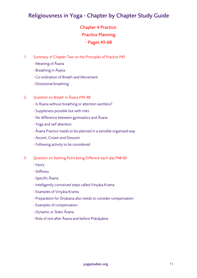## Chapter 4 Practice: Practice Planning - Pages 45-68

- 1. Summary of Chapter Two on the Principles of Practice P45
	- Meaning of Āsana
	- Breathing in Āsana
	- Co-ordination of Breath and Movement
	- Directional breathing

#### 2. Ouestion on Breath in Asana P45-48

- Is Āsana without breathing or attention wortless?
- Suppleness possible but with risks
- No difference between gymnastics and Āsana
- Yoga and self attention
- Āsana Practice needs to be planned in a sensible organised way
- Ascent, Crown and Descent
- Following activity to be considered
- 3. Question on Starting Point being Different each day P48-60
	- Injury
	- Stiffness
	- Specific Āsana
	- Intelligently conceived steps called Vinyāsa Krama
	- Examples of Vinyāsa Krama
	- Preparation for Śīrṣāsana also needs to consider compensation
	- Examples of compensation
	- Dynamic or Static Āsana
	- Role of rest after Āsana and before Prāṇāyāma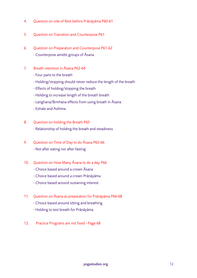- 4. Question on role of Rest before Prāṇāyāma P60-61
- 5. Question on Transition and Counterpose P61
- 6. Question on Preparation and Counterpose P61-62 - Counterpose amidst groups of Āsana
- 7. Breath retention in Āsana P62-64
	- Four parts to the breath
	- Holding/stopping should never reduce the length of the breath
	- Effects of holding/stopping the breath
	- Holding to increase length of the breath breath
	- Laṅghana/Bṛmhaṇa effects from using breath in Āsana
	- Exhale and Asthma
- 8. Question on holding the Breath P65
	- Relationship of holding the breath and steadiness
- 9. Question on Time of Day to do Āsana P65-66 - Not after eating nor after fasting
	-
- 10. Question on How Many Āsana to do a day P66
	- Choice based around a crown Āsana
	- Choice based around a crown Prāṇāyāma
	- Choice based around sustaining interest
- 11. Question on Āsana as preparation for Prāṇāyāma P66-68
	- Choice based around sitting and breathing
	- Holding to test breath for Prāṇāyāma
- 12. Practice Programs are not fixed Page 68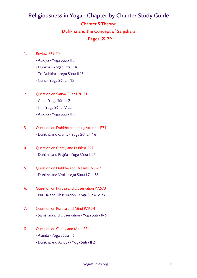## Chapter 5 Theory: Duḥkha and the Concept of Saṃskāra - Pages 69-79

- 1. Review P69-70
	- Avidyā Yoga Sūtra II 5
	- Duḥkha Yoga Sūtra II 16
	- Tri-Duḥkha Yoga Sūtra II 15
	- Guṇa Yoga Sūtra II 15
- 2. Question on Sattva Guṅa P70-71
	- Citta Yoga Sūtra I 2
	- Cit Yoga Sūtra IV 22
	- Avidyā Yoga Sūtra II 5
- 3. Question on Duḥkha becoming valuable P71 - Duḥkha and Clarity - Yoga Sūtra II 16
- 4. Question on Clarity and Duḥkha P71 - Duḥkha and Prajña - Yoga Sūtra II 27
- 5. Ouestion on Duhkha and Dreams P71-72 - Duḥkha and Vṛtti - Yoga Sūtra I 7 - I 38
- 6. Question on Puruṣa and Observation P72-73 - Puruṣa and Observation - Yoga Sūtra IV 23
- 7. Question on Puruṣa and Mind P73-74 - Saṃskāra and Observation - Yoga Sūtra IV 9
- 8. Question on Clarity and Mind P74
	- Asmitā Yoga Sūtra II 6
	- Duḥkha and Avidyā Yoga Sūtra II 24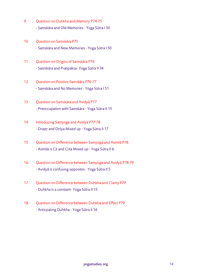- 9. Question on Duḥkha and Memory P74-75 - Saṃskāra and Old Memories - Yoga Sūtra I 50
- 10. Question on Saṃskāra P75 - Saṃskāra and New Memories - Yoga Sūtra I 50
- 11. Question on Origins of Saṃskāra P76 - Saṃskāra and Pratipakṣa- Yoga Sūtra II 34
- 12. Question on Positive Saṃskāra P76-77 - Saṃskāra and No Memories - Yoga Sūtra I 51
- 13. Question on Saṃskāra and Avidyā P77 - Preoccupation with Saṃskāra - Yoga Sūtra II 15
- 14. Introducing Samyoga and Avidya P77-78 - Draṣṭṛ and Dṛśya Mixed up - Yoga Sūtra II 17
- 15. Question on Difference between Saṃyoga and Asmitā P78 - Asmitā is Cit and Ciita Mixed up - Yoga Sūtra II 6
- 16. Question on Difference between Saṃyoga and Avidyā P78-79 - Avidyā is confusing opposites - Yoga Sūtra II 5
- 17. Question on Difference between Duḥkha and Clarity P79 - Duḥkha is a constant- Yoga Sūtra II 15
- 18. Ouestion on Difference between Duhkha and Effect P79 - Anticpating Duḥkha - Yoga Sūtra II 16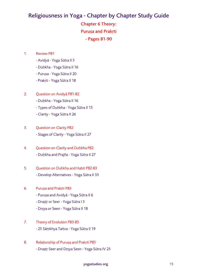Chapter 6 Theory: Puruṣa and Prakṛti - Pages 81-90

#### 1. Review P81

- Avidyā Yoga Sūtra II 5
- Duḥkha Yoga Sūtra II 16
- Puruṣa Yoga Sūtra II 20
- Prakṛti Yoga Sūtra II 18
- 2. Question on Avidyā P81-82
	- Duḥkha Yoga Sūtra II 16
	- Types of Duḥkha Yoga Sūtra II 15
	- Clarity Yoga Sūtra II 26
- 3. Question on Clarity P82 - Stages of Clarity - Yoga Sūtra II 27
- 4. Question on Clarity and Duḥkha P82 - Duḥkha and Prajña - Yoga Sūtra II 27
- 5. Ouestion on Duhkha and Habit P82-83 - Develop Alternatives - Yoga Sūtra II 33

#### 6. Puruṣa and Prakṛti P83

- Puruṣa and Avidyā Yoga Sūtra II 6
- Draṣṭṛ or Seer Yoga Sūtra I 3
- Dṛṣya or Seen Yoga Sūtra II 18
- 7. Theory of Evolution P83-85 - 25 Sāṃkhya Tattva - Yoga Sūtra II 19
- 8. Relationship of Purușa and Prakṛti P85 - Draṣṭṛ Seer and Dṛṣya Seen - Yoga Sūtra IV 23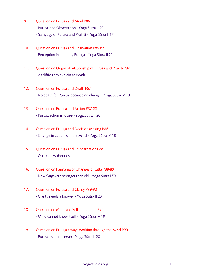- 9. Question on Purusa and Mind P86
	- Purusa and Observation Yoga Sūtra II 20
	- Saṃyoga of Puruṣa and Prakṛti Yoga Sūtra II 17
- 10. Ouestion on Purusa and Obsrvation P86-87 - Perception initiated by Puruṣa - Yoga Sūtra II 21
- 11. Question on Origin of relationship of Puruṣa and Prakṛti P87 - As difficult to explain as death
- 12. Question on Purusa and Death P87 - No death for Puruṣa because no change - Yoga Sūtra IV 18
- 13. Ouestion on Purusa and Action P87-88 - Puruṣa action is to see - Yoga Sūtra II 20
- 14. Question on Puruṣa and Decision Making P88 - Change in action is in the Mind - Yoga Sūtra IV 18
- 15. Ouestion on Purusa and Reincarnation P88 - Quite a few theories
- 16. Question on Pariṇāma or Changes of Citta P88-89 - New Saṃskāra stronger than old - Yoga Sūtra I 50
- 17. Question on Puruṣa and Clarity P89-90 - Clarity needs a knower - Yoga Sūtra II 20
- 18. Question on Mind and Self-perception P90 - Mind cannot know itself - Yoga Sūtra IV 19
- 19. Question on Puruṣa always working through the Mind P90 - Puruṣa as an observer - Yoga Sūtra II 20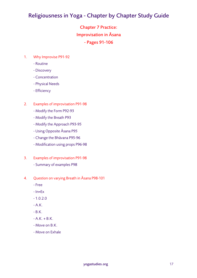Chapter 7 Practice: Improvisation in Āsana - Pages 91-106

- 1. Why Improvise P91-92
	- Routine
	- Discovery
	- Concentration
	- Physical Needs
	- Efficiency
- 2. Examples of improvisation P91-98
	- Modify the Form P92-93
	- Modify the Breath P93
	- Modify the Approach P93-95
	- Using Opposite Āsana P95
	- Change the Bhāvana P95-96
	- Modification using props P96-98
- 3. Examples of improvisation P91-98
	- Summary of examples P98
- 4. Question on varying Breath in Āsana P98-101
	- Free
	- In=Ex
	- $-1.0.2.0$
	- $A.K.$
	- $-B.K.$
	- $A.K. + B.K.$
	- Move on B.K.
	- Move on Exhale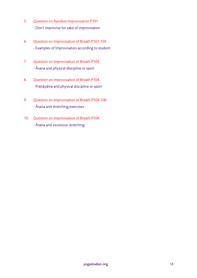- 5. Question on Random Improvisation P101 - Don't improvise for sake of improvisation
- 6. Question on Improvisation of Breath P101-103 - Examples of Improvisation according to student
- 7. Question on Improvisation of Breath P103 - Āsana and physical discipline or sport
- 8. Question on Improvisation of Breath P104 - Prāṇāyāma and physical discipline or sport
- 9. Question on Improvisation of Breath P104-106 - Āsana and stretching exercises
- 10. Question on Improvisation of Breath P106 - Āsana and excessive stretching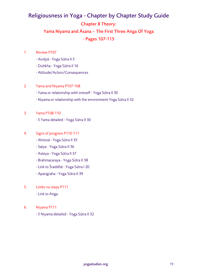## Religiousness in Yoga - Chapter by Chapter Study Guide Chapter 8 Theory: Yama Niyama and Āsana – The First Three Aṅga Of Yoga - Pages 107-115

- 1. Review P107
	- Avidyā Yoga Sūtra II 5
	- Duḥkha Yoga Sūtra II 16
	- Attitude/Action/Consequences
- 2 Yama and Niyama P107-108
	- Yama or relationship with oneself Yoga Sūtra II 30
	- Niyama or relationship with the environment Yoga Sūtra II 32
- 3. Yama P108-110
	- 5 Yama detailed Yoga Sūtra II 30

#### 4. Signs of progress P110-111

- Ahiṃsā Yoga Sūtra II 35
- Satya Yoga Sūtra II 36
- Asteya Yoga Sūtra II 37
- Brahmacaraya Yoga Sūtra II 38
- Link to Śraddhā Yoga Sūtra I 20
- Aparigraha Yoga Sūtra II 39
- 5. Limbs no steps P111 - Link to Aṅga
- 6. Niyama P111
	- 5 Niyama detailed Yoga Sūtra II 32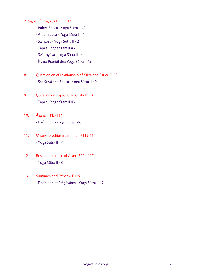- 7. Signs of Progress P111-113
	- Bahya Śauca Yoga Sūtra II 40
	- Antar Śauca Yoga Sūtra II 41
	- Saṃtoṣa Yoga Sūtra II 42
	- Tapas Yoga Sūtra II 43
	- Svādhyāya Yoga Sūtra II 44
	- Īśvara Praṇidhāna Yoga Sūtra II 45
- 8. Question on of relationship of Kriyā and Śauca P113 - Ṣat Kriyā and Śauca - Yoga Sūtra II 40
- 9. Question on Tapas as austerity P113 - Tapas - Yoga Sūtra II 43
- 10. Āsana P113-114 - Definition - Yoga Sūtra II 46
- 11. Means to achieve definition P113-114 - Yoga Sūtra II 47
- 12. Result of practice of Āsana P114-115 - Yoga Sūtra II 48
- 13. Summary and Preview P115 - Definition of Prāṇāyāma - Yoga Sūtra II 49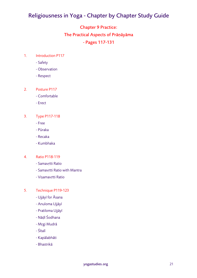## Chapter 9 Practice: The Practical Aspects of Prāṇāyāma - Pages 117-131

- 1. Introduction P117
	- Safety
	- Observation
	- Respect
- 2. Posture P117
	- Comfortable
	- Erect
- 3. Type P117-118
	- Free
	- Pūraka
	- Recaka
	- Kumbhaka

#### 4. Ratio P118-119

- Samavṛtti Ratio
- Samavṛtti Ratio with Mantra
- Viṣamavṛtti Ratio
- 5. Technique P119-123
	- Ujjāyī for Āsana
	- Anuloma Ujjāyī
	- Pratiloma Ujjāyī
	- Nāḍī Śodhana
	- Mṛgi Mudrā
	- Śītalī
	- Kapālabhāti
	- Bhastrikā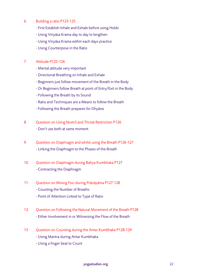#### 6. Building a ratio P123-125

- First Establish Inhale and Exhale before using Holds
- Using Vinyāsa Krama day to day to lengthen
- Using Vinyāsa Krama within each days practice
- Using Counterpose in the Ratio

#### 7. Attitude P125-126

- Mental attitude very important
- Directional Breathing on Inhale and Exhale
- Beginners just follow movement of the Breath in the Body
- Or Beginners follow Breath at point of Entry/Exit in the Body
- Following the Breath by its Sound
- Ratio and Techniques are a Means to follow the Breath
- Following the Breath prepares for Dhyāna
- 8. Ouestion on Using Nostril and Throat Restriction P126 - Don't use both at same moment.
- 9. Question on Diaphragm and whilst using the Breath P126-127 - Linking the Diaphragm to the Phases of the Breath
- 10. Question on Diaphragm during Bahya Kumbhaka P127 - Contracting the Diaphragm
- 11. Question on Mixing Foci during Prāṇāyāma P127-128
	- Counting the Number of Breaths
	- Point of Attention Linked to Type of Ratio
- 12. Question on Following the Natural Movement of the Breath P128 - Either Involvement in or Witnessing the Flow of the Breath
- 13. Question on Counting during the Antar Kumbhaka P128-129
	- Using Mantra during Antar Kumbhaka
	- Using a finger beat to Count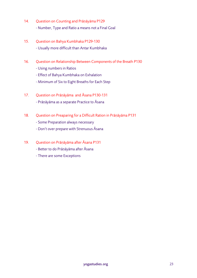- 14. Question on Counting and Prāṇāyāma P129 - Number, Type and Ratio a means not a Final Goal
- 15. Question on Bahya Kumbhaka P129-130 - Usually more difficult than Antar Kumbhaka
- 16. Question on Relationship Between Components of the Breath P130 - Using numbers in Ratios
	- Effect of Bahya Kumbhaka on Exhalation
	- Minimum of Six to Eight Breaths for Each Step
- 17. Question on Prāṇāyāma and Āsana P130-131 - Prāṇāyāma as a separate Practice to Āsana
- 18. Question on Preaparing for a Difficult Ration in Prāṇāyāma P131
	- Some Preparation always necessary
	- Don't over prepare with Strenuous Āsana
- 19. Question on Prāṇāyāma after Āsana P131
	- Better to do Prāṇāyāma after Āsana
	- There are some Exceptions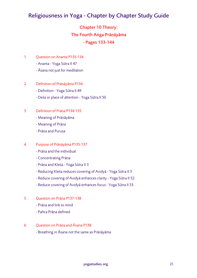## Chapter 10 Theory: The Fourth Aṅga Prāṇāyāma - Pages 133-144

- 1. Question on Ananta P133-134
	- Ananta Yoga Sūtra II 47
	- Āsana not just for meditation
- 2. Definition of Prāṇāyāma P134
	- Definition Yoga Sūtra II 49
	- Deśa or place of attention Yoga Sūtra II 50

#### 3. Definition of Prāṇa P134-135

- Meaning of Prāṇāyāma
- Meaning of Prāṇa
- Prāṇa and Puruṣa

#### 4. Purpose of Prāṇāyāma P135-137

- Prāṇa and the individual
- Concentrating Prāṇa
- Prāṇa and Kleśa Yoga Sūtra II 3
- Reducing Kleśa reduces covering of Avidyā Yoga Sūtra II 3
- Reduce covering of Avidyā enhances clarity Yoga Sūtra II 52
- Reduce covering of Avidyā enhances focus Yoga Sūtra II 53
- 5. Question on Prāṇa P137-138
	- Prāṇa and link to mind
	- Pañca Prāṇa defined
- 6. Question on Prāṇa and Āsana P138
	- Breathing in Āsana not the same as Prāṇāyāma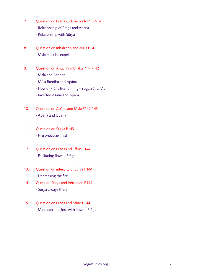- 7. Question on Prāṇa and the body P139-141
	- Relationship of Prāṇa and Apāna
	- Relationship with Sūrya
- 8. Ouestion on Inhalation and Mala P141 - Mala must be expelled
- 9. Question on Antar Kumbhaka P141-142
	- Mala and Bandha
	- Mūla Bandha and Apāna
	- Flow of Prāṇa like farming Yoga Sūtra IV 3
	- Inverted Āsana and Apāna
- 10. Question on Apāna and Mala P142-143 - Apāna and Udāna
- 11. Question on Sūrya P143 - Fire produces heat
- 12. Question on Prāṇa and Effort P144 - Faciltating flow of Prāṇa
- 13. Question on intensity of Sūrya P144 - Decreasing the fire
- 14. Question Sūrya and Inhalation P144 - Surya always there
- 15. Question on Prāṇa and Mind P144 - Mind can interfere with flow of Prāṇa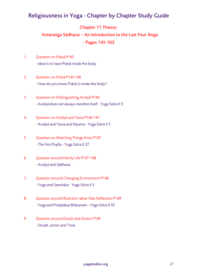#### Chapter 11 Theory:

## Antaraṅga Sādhana – An Introduction to the Last Four Aṅga - Pages 145-162

- 1. Question on Prāṇā P145 - Ideal is to have Prāṇā inside the body
- 2. Question on Prāṇā P145-146 - How do you know Prāṇā is inside the body?
- 3. Question on Distinguishing Avidyā P146 - Avidyā does not always manifest itself - Yoga Sūtra II 5
- 4. Question on Avidyā and Yama P146-147 - Avidyā and Yama and Niyama - Yoga Sūtra II 5
- 5. Question on Watching Things Arise P147 - The first Prajña - Yoga Sūtra II 27
- 6. Question around Family Life P147-148 - Avidyā and Sādhana
- 7. Question around Changing Environment P148 - Yoga and Saṃskāra - Yoga Sūtra II 5
- 8. Question around Restraint rather than Reflection P149 - Yoga and Pratipakṣa Bhāvanam - Yoga Sūtra II 33
- 9. Ouestion around Doubt and Action P149 - Doubt, action and Time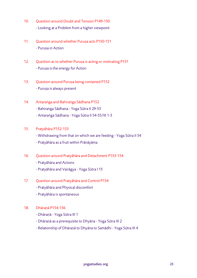- 10. Ouestion around Doubt and Tension P149-150 - Looking at a Problem from a higher viewpoint
- 11. Question around whether Purusa acts P150-151 - Purusa in Action
- 12. Question as to whether Puruṣa is acting or motivating P151 - Puruṣa is the energy for Action
- 13. Question around Puruṣa being contained P152 - Puruṣa is always present
- 14. Antaraṅga and Bahiraṅga Sādhana P152 - Bahiraṅga Sādhana - Yoga Sūtra II 29-53 - Antaraṅga Sādhana - Yoga Sūtra II 54-55/III 1-3
- 15. Pratyāhāra P152-153
	- Withdrawing from that on which we are feeding Yoga Sūtra II 54
	- Pratyāhāra as a fruit within Prāṇāyāma
- 16. Question around Pratyāhāra and Detachment P153-154
	- Pratyāhāra and Actions
	- Pratyāhāra and Vairāgya Yoga Sūtra I 15
- 17. Question around Pratyāhāra and Control P154
	- Pratyāhāra and Physical discomfort
	- Pratyāhāra is spontaneous
- 18. Dhāraṇā P154-156
	- Dhāraṇā Yoga Sūtra III 1
	- Dhāraṇā as a prerequisite to Dhyāna Yoga Sūtra III 2
	- Relationship of Dhāraṇā to Dhyāna to Samādhi Yoga Sūtra III 4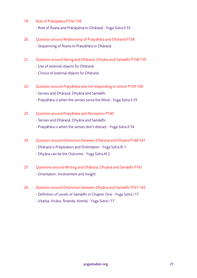- 19. Role of Prāṇāyāma P156-158 - Role of Āsana and Prāṇāyāma to Dhāraṇā - Yoga Sūtra II 53
- 20. Question around Relationship of Pratyāhāra and Dhāraṇā P158 - Sequencing of Āsana to Pratyāhāra to Dhāraṇā
- 21. Question around Sitting and Dhāraṇā, Dhyāna and Samādhi P158-159 - Use of external objects for Dhāraṇā - Choice of external objects for Dhāraṇā
- 22. Question around Pratyāhāra and not responding to stimuli P159-160 - Senses and Dhāraṇā, Dhyāna and Samādhi - Pratyāhāra is when the senses serve the Mind - Yoga Sūtra II 55
- 23. Question around Pratyāhāra and Perception P160 - Senses and Dhāraṇā, Dhyāna and Samādhi - Pratyāhāra is when the senses don't distract - Yoga Sūtra II 54
- 24. Question around Distinction between Dhāraṇā and Dhyāna P160-161 - Dhāraṇā is Preparation and Orientation - Yoga Sūtra III 1 - Dhyāna can be the Outcome - Yoga Sūtra III 2
- 25. Questions around Writing and Dhāraṇā, Dhyāna and Samādhi P161 - Orientation, Involvement and Insight
- 26. Question around Distinction between Dhyāna and Samādhi P161-162 - Definition of Levels of Samādhi in Chapter One - Yoga Sūtra I 17 - Vitarka, Vicāra, Ānanda, Asmitā - Yoga Sūtra I 17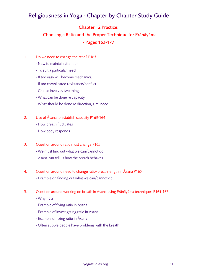#### Chapter 12 Practice:

## Choosing a Ratio and the Proper Technique for Prāṇāyāma - Pages 163-177

- 1. Do we need to change the ratio? P163
	- New to maintain attention
	- To suit a particular need
	- If too easy will become mechanical
	- If too complicated resistance/conflict
	- Choice involves two things
	- What can be done re capacity
	- What should be done re direction, aim, need
- 2. Use of Āsana to establish capacity P163-164
	- How breath fluctuates
	- How body responds
- 3. Question around ratio must change P165
	- We must find out what we can/cannot do
	- Āsana can tell us how the breath behaves
- 4. Question around need to change ratio/breath length in Āsana P165 - Example on finding out what we can/cannot do
- 5. Question around working on breath in Āsana using Prāṇāyāma techniques P165-167
	- Why not?
	- Example of fixing ratio in Āsana
	- Example of investigating ratio in Āsana
	- Example of fixing ratio in Āsana
	- Often supple people have problems with the breath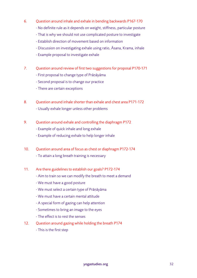- 6. Question around inhale and exhale in bending backwards P167-170
	- No definite rule as it depends on weight, stiffness, particular posture
	- That is why we should not use complicated posture to investigate
	- Establish direction of movement based on information
	- Discussion on investigating exhale using ratio, Āsana, Krama, inhale
	- Example proposal to investigate exhale
- 7. Question around review of first two suggestions for proposal P170-171
	- First proposal to change type of Prāṇāyāma
	- Second proposal is to change our practice
	- There are certain exceptions
- 8. Question around inhale shorter than exhale and chest area P171-172 - Usually exhale longer unless other problems
- 9. Question around exhale and controlling the diaphragm P172
	- Example of quick inhale and long exhale
	- Example of reducing exhale to help longer inhale
- 10. Question around area of focus as chest or diaphragm P172-174 - To attain a long breath training is necessary
- 11. Are there guidelines to establish our goals? P172-174
	- Aim to train so we can modify the breath to meet a demand
	- We must have a good posture
	- We must select a certain type of Prāṇāyāma
	- We must have a certain mental attitude
	- A special form of gazing can help attention
	- Sometimes to bring an image to the eyes
	- The effect is to rest the senses
- 12. Question around gazing while holding the breath P174
	- This is the first step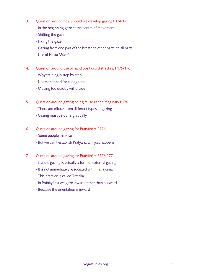- 13. Question around how should we develop gazing P174-175
	- In the beginning gaze at the centre of movement
	- Shifting the gaze
	- Fixing the gaze
	- Gazing from one part of the breath to other parts, to all parts
	- Use of Hasta Mudrā
- 14. Question around use of hand positions distracting P175-176
	- Why training is step by step
	- Not mentioned for a long time
	- Moving too quickly will divide
- 15. Question around gazing being muscular or imaginary P176
	- There are effects from different types of gazing
	- Gazing must be done gradually
- 16. Question around gazing for Pratyāhāra P176
	- Some people think so
	- But we can't establish Pratyāhāra, it just happens
- 17. Question around gazing for Pratyāhāra P176-177
	- Candle gazing is actually a form of external gazing
	- It is not immediately associated with Prāṇāyāma
	- This practice is called Trāṭaka
	- In Prāṇāyāma we gaze inward rather than outward
	- Because the orientation is inward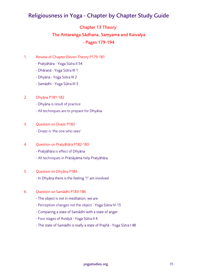## Chapter 13 Theory: The Antaraṅga Sādhana, Saṃyama and Kaivalya - Pages 179-194

- 1. Review of Chapter Eleven Theory P179-181
	- Pratyāhāra Yoga Sūtra II 54
	- Dhāraṇā Yoga Sūtra III 1
	- Dhyāna Yoga Sūtra III 2
	- Samādhi Yoga Sūtra III 3

#### 2. Dhyãna P181-182

- Dhyāna is result of practice
- All techniques are to prepare for Dhyāna
- 3. Question on Draṣṭṛ P182 - Draṣṭṛ is 'the one who sees'
- 4. Question on Pratyãhãra P182-183
	- Pratyāhāra is effect of Dhyāna
	- All techniques in Prāṇāyāma help Pratyāhāra

#### 5. Question on Dhyãna P183

- In Dhyāna there is the feeling "I" am involved

#### 6. Question on Samādhi P183-186

- The object is not in meditation, we are
- Perception changes not the object Yoga Sūtra IV 15
- Comparing a state of Samādhi with a state of anger
- Four stages of Avidyā Yoga Sūtra II 4
- The state of Samādhi is really a state of Prajñā Yoga Sūtra I 48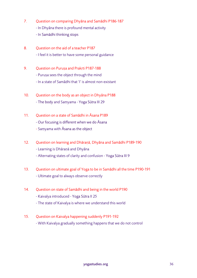- 7. Question on comparing Dhyãna and Samãdhi P186-187 - In Dhyãna there is profound mental activity - In Samādhi thinking stops
- 8. Question on the aid of a teacher P187 - I feel it is better to have some personal guidance
- 9. Ouestion on Purusa and Prakrti P187-188 - Puruṣa sees the object through the mind - In a state of Samãdhi that 'I' is almost non-existant
- 10. Question on the body as an object in Dhyãna P188 - The body and Saṃyama - Yoga Sūtra III 29
- 11. Question on a state of Samãdhi in Āsana P189 - Our focusing is different when we do Āsana - Saṃyama with Āsana as the object
- 12. Question on learning and Dhāraṇā, Dhyãna and Samãdhi P189-190 - Learning is Dhāraṇā and Dhyãna - Alternating states of clarity and confusion - Yoga Sūtra III 9
- 13. Question on ultimate goal of Yoga to be in Samãdhi all the time P190-191 - Ultimate goal to always observe correctly
- 14. Question on state of Samãdhi and being in the world P190 - Kaivalya introduced - Yoga Sūtra II 25
	- The state of Kaivalya is where we understand this world
- 15. Question on Kaivalya happening suddenly P191-192 - With Kaivalya gradually something happens that we do not control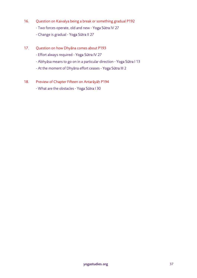- 16. Question on Kaivalya being a break or something gradual P192
	- Two forces operate, old and new Yoga Sūtra IV 27
	- Change is gradual Yoga Sūtra II 27
- 17. Question on how Dhyãna comes about P193
	- Effort always required Yoga Sūtra IV 27
	- Abhyāsa means to go on in a particular direction Yoga Sūtra I 13
	- At the moment of Dhyãna effort ceases Yoga Sūtra III 2
- 18. Preview of Chapter Fifteen on Antarāyāḥ P194
	- What are the obstacles Yoga Sūtra I 30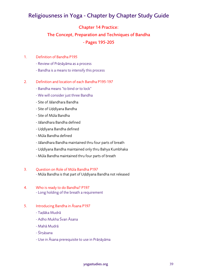#### Chapter 14 Practice:

## The Concept, Preparation and Techniques of Bandha - Pages 195-205

#### 1. Definition of Bandha P195

- Review of Prāṇāyāma as a process
- Bandha is a means to intensify this process

#### 2. Definition and location of each Bandha P195-197

- Bandha means "to bind or to lock"
- We will consider just three Bandha
- Site of Jālandhara Bandha
- Site of Uḍḍīyana Bandha
- Site of Mūla Bandha
- Jālandhara Bandha defined
- Uḍḍīyana Bandha defined
- Mūla Bandha defined
- Jālandhara Bandha maintained thru four parts of breath
- Uḍḍīyana Bandha maintained only thru Bahya Kumbhaka
- Mūla Bandha maintained thru four parts of breath

#### 3. Question on Role of Mūla Bandha P197

- Mūla Bandha is that part of Uḍḍīyana Bandha not released

#### 4. Who is ready to do Bandha? P197 - Long holding of the breath a requirement

- 5. Introducing Bandha in Āsana P197
	- Taḍāka Mudrā
	- Adho Mukha Śvan Āsana
	- Mahā Mudrā
	- Śīrṣāsana
	- Use in Āsana prerequisite to use in Prāṇāyāma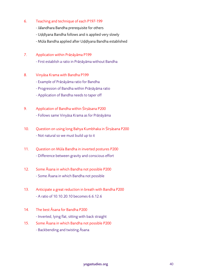#### 6. Teaching and technique of each P197-199

- Jālandhara Bandha prerequisite for others
- Uḍḍīyana Bandha follows and is applied very slowly
- Mūla Bandha applied after Uḍḍīyana Bandha established
- 7. Application within Prāṇāyāma P199
	- First establish a ratio in Prāṇāyāma without Bandha
- 8. Vinyāsa Krama with Bandha P199
	- Example of Prāṇāyāma ratio for Bandha
	- Progression of Bandha within Prāṇāyāma ratio
	- Application of Bandha needs to taper off
- 9. Application of Bandha within Śīrṣāsana P200 - Follows same Vinyāsa Krama as for Prāṇāyāma
- 10. Question on using long Bahya Kumbhaka in Śīrṣāsana P200 - Not natural so we must build up to it
- 11. Question on Mūla Bandha in inverted postures P200 - Difference between gravity and conscious effort
- 12. Some Āsana in which Bandha not possible P200 - Some Āsana in which Bandha not possible
- 13. Anticipate a great reduction in breath with Bandha P200 - A ratio of 10.10.20.10 becomes 6.6.12.6
- 14. The best Āsana for Bandha P200 - Inverted, lying flat, sitting with back straight
- 15. Some Āsana in which Bandha not possible P200 - Backbending and twisting Āsana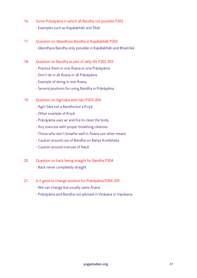- 16. Some Prāṇāyāma in which all Bandha not possible P202 - Examples such as Kapālabhāti and Śītalī
- 17. Question on Jālandhara Bandha in Kapālabhāti P202 - Jālandhara Bandha only possible in Kapālabhāti and Bhastrikā
- 18. Question on Bandha as part of daily life P202-203
	- Practice them in one Āsana or one Prāṇāyāma
	- Don't do in all Āsana or all Prāṇāyāma
	- Example of doing in one Āsana
	- Several positions for using Bandha in Prāṇāyāma
- 19. Question on Agnisāra and risks P203-204
	- Agni Sāra not a Bandha but a Kriyā
	- Other example of Kriyā
	- Prāṇāyāma uses air and fire to clean the body
	- Any exercise with proper breathing cleanses
	- Those who don't breathe well in Āsana use other means
	- Caution around use of Bandha on Bahya Kumbhaka
	- Caution around overuse of Nauli
- 20. Question on back being straight for Bandha P204
	- Back never completely straight
- 21. Is it good to change position for Prāṇāyāma P204-205
	- We can change but usually same Āsana
	- Prāṇāyāma and Bandha not advised in Vīrāsana or Vajrāsana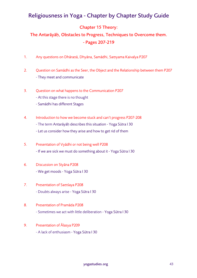#### Chapter 15 Theory:

## The Antarāyāḥ, Obstacles to Progress, Techniques to Overcome them. - Pages 207-219

- 1. Any questions on Dhāraṇā, Dhyāna, Samādhi, Saṃyama Kaivalya P207
- 2. Question on Samādhi as the Seer, the Object and the Relationship between them P207 - They meet and communicate
- 3. Question on what happens to the Communication P207
	- At this stage there is no thought
	- Samādhi has different Stages
- 4. Introduction to how we become stuck and can't progress P207-208
	- The term Antarāyāḥ describes this situation Yoga Sūtra I 30
	- Let us consider how they arise and how to get rid of them
- 5. Presentation of Vyādhi or not being well P208 - If we are sick we must do something about it - Yoga Sūtra I 30
- 6. Discussion on Styāna P208 - We get moods - Yoga Sūtra I 30
- 7. Presentation of Saṃśaya P208 - Doubts always arise - Yoga Sūtra I 30
- 8. Presentation of Pramāda P208 - Sometimes we act with little deliberation - Yoga Sūtra I 30

#### 9. Presentation of Ālasya P209

- A lack of enthusiasm - Yoga Sūtra I 30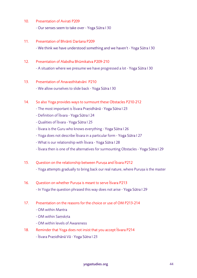10. Presentation of Avirati P209

- Our senses seem to take over - Yoga Sūtra I 30

11. Presentation of Bhrānti Darśana P209

- We think we have understood something and we haven't - Yoga Sūtra I 30

12. Presentation of Alabdha Bhūmikatva P209-210

- A situation where we presume we have progressed a lot - Yoga Sūtra I 30

13. Presentation of Anavasthitatvāni P210

- We allow ourselves to slide back - Yoga Sūtra I 30

- 14. So also Yoga provides ways to surmount these Obstacles P210-212
	- The most important is Īśvara Praṇidhānā Yoga Sūtra I 23
	- Definition of Īśvara Yoga Sūtra I 24
	- Qualities of Īśvara Yoga Sūtra I 25
	- Īśvara is the Guru who knows everything Yoga Sūtra I 26
	- Yoga does not describe Īśvara in a particular form Yoga Sūtra I 27
	- What is our relationship with Īśvara Yoga Sūtra I 28
	- Īśvara then is one of the alternatives for surmounting Obstacles Yoga Sūtra I 29
- 15. Question on the relationship between Puruṣa and Īśvara P212

- Yoga attempts gradually to bring back our real nature, where Purusa is the master

16. Question on whether Puruṣa is meant to serve Īśvara P213

- In Yoga the question phrased this way does not arise - Yoga Sūtra I 29

- 17. Presentation on the reasons for the choice or use of OM P213-214
	- OM within Mantra
	- OM within Saṃskṛta
	- OM within levels of Awareness
- 18. Reminder that Yoga does not insist that you accept Īśvara P214
	- Īśvara Praṇidhānā Vā Yoga Sūtra I 23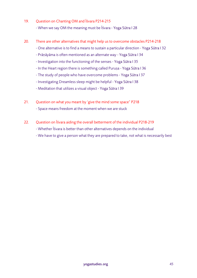- 19. Question on Chanting OM and Īśvara P214-215 - When we say OM the meaning must be Īśvara - Yoga Sūtra I 28
- 20. There are other alternatives that might help us to overcome obstacles P214-218
	- One alternative is to find a means to sustain a particular direction Yoga Sūtra I 32
	- Prāṇāyāma is often mentioned as an alternate way Yoga Sūtra I 34
	- Investigation into the functioning of the senses Yoga Sūtra I 35
	- In the Heart region there is something called Puruṣa Yoga Sūtra I 36
	- The study of people who have overcome problems Yoga Sūtra I 37
	- Investigating Dreamless sleep might be helpful Yoga Sūtra I 38
	- Meditation that utilizes a visual object Yoga Sūtra I 39
- 21. Question on what you meant by 'give the mind some space" P218 - Space means freedom at the moment when we are stuck
- 22. Question on Īśvara aiding the overall betterment of the individual P218-219 - Whether Īśvara is better than other alternatives depends on the individual - We have to give a person what they are prepared to take, not what is necessarily best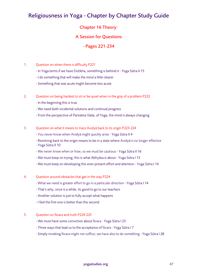#### Chapter 16 Theory:

#### A Session for Questions

#### - Pages 221-234

#### 1. Question on when there is difficulty P221

- In Yoga terms if we have Duḥkha, something is behind it Yoga Sūtra II 15
- I do something that will make the mind a little clearer
- Something that was acute might become less acute

#### 2. Question on being hardest to sit or be quiet when in the grip of a problem P222

- In the beginning this is true
- We need both incidental solutions and continual progress
- From the perspective of Pariṇāma Vāda, of Yoga, the mind is always changing

#### 3. Question on what it means to trace Avidyā back to its origin P223-224

- You never know when Avidyā might quickly arise Yoga Sūtra II 4
- Resolving back to the origin means to be in a state where Avidyā is no longer effective
- Yoga Sūtra II 10
- We never know when or how, so we must be cautious Yoga Sūtra II 16
- We must keep on trying; this is what Abhyāsa is about Yoga Sūtra I 13
- We must keep on developing this ever-present effort and attention Yoga Sūtra I 14
- 4. Question around obstacles that get in the way P224
	- What we need is greater effort to go in a particular direction Yoga Sūtra I 14
	- That's why, once is a while, its good to go to our teachers
	- Another solution is just to fully accept what happens
	- I feel the first one is better than the second

#### 5. Question on Īśvara and truth P224-225

- We must have some conviction about Īśvara Yoga Sūtra I 23
- Three ways that lead us to the acceptance of Īśvara Yoga Sūtra I 7
- Simply invoking Īśvara might not suffice; we have also to do something Yoga Sūtra I 28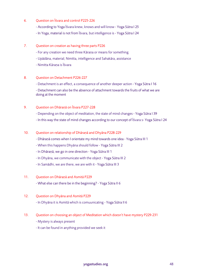- 6. Question on Īśvara and control P225-226
	- According to Yoga Īśvara knew, knows and will know Yoga Sūtra I 25
	- In Yoga, material is not from Īśvara, but intelligence is Yoga Sūtra I 24
- 7. Question on creation as having three parts P226
	- For any creation we need three Kāraṇa or means for something
	- Upādāna, material; Nimitta, intelligence and Sahakāra, assistance
	- Nimitta Kāraṇa is Īśvara

#### 8. Question on Detachment P226-227

- Detachment is an effect, a consequence of another deeper action - Yoga Sūtra I 16

- Detachment can also be the absence of attachment towards the fruits of what we are doing at the moment

#### 9. Question on Dhāraṇā on Īśvara P227-228

- Depending on the object of meditation, the state of mind changes Yoga Sūtra I 39
- In this way the state of mind changes according to our concept of Īśvara s- Yoga Sūtra I 24

#### 10. Question on relationship of Dhāraṇā and Dhyāna P228-229

- Dhāraṇā comes when I orientate my mind towards one idea Yoga Sūtra III 1
- When this happens Dhyāna should follow Yoga Sūtra III 2
- In Dhāraṇā, we go in one direction Yoga Sūtra III 1
- In Dhyāna, we communicate with the object Yoga Sūtra III 2
- In Samādhi, we are there, we are with it Yoga Sūtra III 3

#### 11. Question on Dhāraṇā and Asmitā P229

- What else can there be in the beginning? - Yoga Sūtra II 6

#### 12. Question on Dhyāna and Asmitā P229

- In Dhyāna it is Asmitā which is comuunicating - Yoga Sūtra II 6

#### 13. Question on choosing an object of Meditation which doesn't have mystery P229-231

- Mystery is always present

- It can be found in anything provided we seek it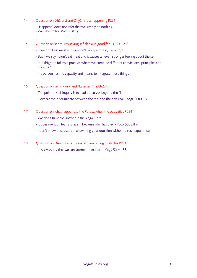- 14. Question on Dhāraṇā and Dhyāna just happening P231
	- "Happens" does not infer that we simply do nothing
	- We have to try. We must try.
- 15. Question on scriptures saying sef-denial is good for us P231-233
	- If we don't eat meat and we don't worry about it, it is alright
	- But if we say I didn't eat meat and it causes an even stronger feeling about the self

- Is it alright to follow a practice where we combine different convictions, principles and concepts?

- If a person has the capacity and means to integrate these things

- 16. Question on self-inquiry and "false self" P233-234
	- The point of self-inquiry is to lead ourselves beyond the "I"
	- How can we discriminate between the real and the non-real Yoga Sūtra II 5
- 17. Question on what happens to the Puruṣa when the body dies P234
	- We don't have the answer in the Yoga Sūtra
	- It does mention fear is present because man has died Yoga Sūtra II 9
	- I don't know because I am answering your question without direct experience
- 18. Question on Dreams as a means of overcoming obstacles P234
	- It is a mystery that we can attempt to explore Yoga Sūtra I 38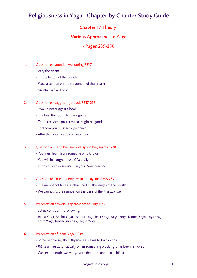#### Chapter 17 Theory:

#### Various Approaches to Yoga

#### - Pages 235-250

#### 1. Question on attention wandering P237

- Vary the Āsana
- Fix the length of the breath
- Place attention on the movement of the breath
- Maintain a fixed ratio

#### 2. Question on suggesting a book P237-238

- I would not suggest a book
- The best thing is to follow a guide
- There are some postures that might be good
- For them you must seek guidance
- After that you must be on your own
- 3. Question on using Praṇava and Japa in Prāṇāyāma P238
	- You must learn from someone who knows
	- You will be taught to use OM orally
	- Then you can easily use it in your Yoga practice
- 4. Question on counting Praṇava in Prāṇāyāma P238-239
	- The number of times is influenced by the length of the breath
	- We cannot fix the number on the basis of the Praṇava itself
- 5. Presentation of various approaches to Yoga P239
	- Let us consider the following:
	- Jñāna Yoga, Bhakti Yoga, Mantra Yoga, Rāja Yoga, Kriyā Yoga, Karma Yoga, Laya Yoga, Tantra Yoga, Kuṇḍalinī Yoga, Haṭha Yoga
- 6. Presentation of Jñāna Yoga P239
	- Some people say that Dhyāna is a means to Jñāna Yoga
	- Jñāna arrives automatically when something blocking it has been removed
	- We see the truth, we merge with the truth, and that is Jñāna

#### yogastudies.org 51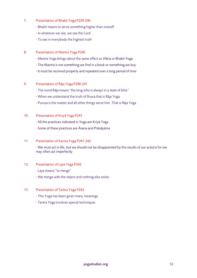- 7. Presentation of Bhakti Yoga P239-240
	- Bhakti means to serve something higher than oneself
	- In whatever we see, we see the Lord
	- To see in everybody the highest truth
- 8. Presentation of Mantra Yoga P240
	- Mantra Yoga brings about the same effect as Jñāna or Bhakti Yoga
	- The Mantra is not something we find in a book or something we buy
	- It must be received properly and repeated over a long period of time
- 9. Presentation of Rāja Yoga P240-241
	- The word Rāja means "the king who is always in a state of bliss"
	- When we understand the truth of Īśvara that is Rāja Yoga
	- Puruṣa is the master and all other things serve him. That is Rāja Yoga
- 10. Presentation of Kriyā Yoga P241
	- All the practices indicated in Yoga are Kriyā Yoga
	- Some of these practices are Āsana and Prāṇāyāma
- 11. Presentation of Karma Yoga P241-242

- We must act in life, but we should not be disappointed by the results of our actions for we may often act imperfectly

- 12. Presentation of Laya Yoga P242
	- Laya means "to merge"
	- We merge with the object and nothing else exists
- 13. Presentation of Tantra Yoga P242
	- This Yoga has been given many meanings
	- Tantra Yoga involves special techniques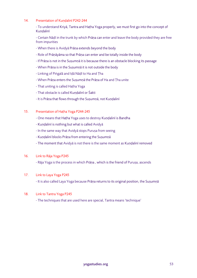#### 14. Presentation of Kundalinī P242-244

- To understand Kriyā, Tantra and Haṭha Yoga properly, we must first go into the concept of Kuṇḍalinī

- Certain Nāḍī in the trunk by which Prāṇa can enter and leave the body provided they are free from impurities

- When there is Avidyā Prāṇa extends beyond the body
- Role of Prāṇāyāma so that Prāṇa can enter and be totally inside the body
- If Prāṇa is not in the Suṣumṇā it is because there is an obstacle blocking its passage
- When Prāṇa is in the Suṣumṇā it is not outside the body
- Linking of Piṅgalā and Iḍā Nāḍī to Ha and Ṭha
- When Prāṇa enters the Suṣumṇā the Prāṇa of Ha and Ṭha unite
- That uniting is called Haṭha Yoga
- That obstacle is called Kundalinī or Śakti
- It is Prāṇa that flows through the Suṣumṇā, not Kuṇḍalinī

#### 15. Presentation of Haṭha Yoga P244-245

- One means that Haṭha Yoga uses to destroy Kuṇḍalinī is Bandha
- Kuṇḍalinī is nothing but what is called Avidyā
- In the same way that Avidyā stops Puruṣa from seeing
- Kuṇḍalinī blocks Prāṇa from entering the Suṣumṇā
- The moment that Avidyā is not there is the same moment as Kuṇḍalinī removed

#### 16. Link to Rāja Yoga P245

- Rāja Yoga is the process in which Prāṇa , which is the friend of Puruṣa, ascends

#### 17. Link to Laya Yoga P245

- It is also called Laya Yoga because Prāṇa returns to its original position, the Suṣumṇā

#### 18. Link to Tantra Yoga P245

- The techniques that are used here are special, Tantra means 'technique'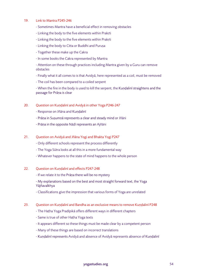#### 19. Link to Mantra P245-246

- Sometimes Mantra have a beneficial effect in removing obstacles
- Linking the body to the five elements within Prakṛti
- Linking the body to the five elements within Prakṛti
- Linking the body to Citta or Buddhi and Puruṣa
- Together these make up the Cakra
- In some books the Cakra represented by Mantra

- Attention on these through practices including Mantra given by a Guru can remove obstacles

- Finally what it all comes to is that Avidyā, here represented as a coil, must be removed
- The coil has been compared to a coiled serpent

- When the fire in the body is used to kill the serpent, the Kuṇḍalinī straightens and the passage for Prāṇa is clear

#### 20. Question on Kuṇḍalinī and Avidyā in other Yoga P246-247

- Response on Jñāna and Kundalinī
- Prāṇa in Suṣumṇā represents a clear and steady mind or Jñāni
- Prāṇa in the opposite Nāḍī represents an Ajñāni

#### 21. Question on Avidyā and Jñāna Yogi and Bhakta Yogi P247

- Only different schools represent the process differently
- The Yoga Sūtra looks at all this in a more fundamental way
- Whatever happens to the state of mind happens to the whole person

#### 22. Ouestion on Kundalinī and effects P247-248

- If we relate it to the Prāṇa there will be no mystery

- My explanations based on the best and most straight forward text, the Yoga Yājñavalkhya

- Classifications give the impression that various forms of Yoga are unrelated

#### 23. Ouestion on Kundalinī and Bandha as an exclusive means to remove Kundalinī P248

- The Haṭha Yoga Pradīpikā offers different ways in different chapters
- Same is true of other Haṭha Yoga texts
- It appears different so these things must be made clear by a competent person
- Many of these things are based on incorrect translations
- Kuṇḍalinī represents Avidyā and absence of Avidyā represents absence of Kuṇḍalinī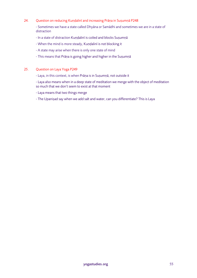#### 24. Question on reducing Kuṇḍalinī and increasing Prāṇa in Suṣumṇā P248

- Sometimes we have a state called Dhyāna or Samādhi and sometimes we are in a state of distraction

- In a state of distraction Kuṇḍalinī is coiled and blocks Suṣumṇā
- When the mind is more steady, Kuṇḍalinī is not blocking it
- A state may arise when there is only one state of mind
- This means that Prāṇa is going higher and higher in the Suṣumṇā

#### 25. Question on Laya Yoga P249

- Laya, in this context, is when Prāṇa is in Suṣumṇā, not outside it

- Laya also means when in a deep state of meditation we merge with the object of meditation so much that we don't seem to exist at that moment

- Laya means that two things merge

- The Upaniṣad say when we add salt and water, can you differentiate? This is Laya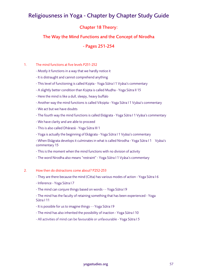#### Chapter 18 Theory:

#### The Way the Mind Functions and the Concept of Nirodha

#### - Pages 251-254

#### 1. The mind functions at five levels P251-252

- Mostly it functions in a way that we hardly notice it
- It is distraught and cannot comprehend anything
- This level of functioning is called Kṣipta Yoga Sūtra I 1 Vyāsa's commentary
- A slightly better condition than Kṣipta is called Muḍha Yoga Sūtra II 15
- Here the mind is like a dull, sleepy, heavy buffalo
- Another way the mind functions is called Vikṣipta Yoga Sūtra I 1 Vyāsa's commentary
- We act but we have doubts
- The fourth way the mind functions is called Ekāgrata Yoga Sūtra I 1 Vyāsa's commentary
- We have clarity and are able to proceed
- This is also called Dhāraṇā Yoga Sūtra III 1
- Yoga is actually the beginning of Ekāgrata Yoga Sūtra I 1 Vyāsa's commentary

- When Ekāgrata develops it culminates in what is called Nirodha - Yoga Sūtra I 1 Vyāsa's commentary 15

- This is the moment when the mind functions with no division of activity
- The word Nirodha also means "restraint" Yoga Sūtra I 1 Vyāsa's commentary
- 2. How then do distractions come about? P252-253
	- They are there because the mind (Citta) has various modes of action Yoga Sūtra I 6
	- Inference Yoga Sūtra I 7
	- The mind can conjure things based on words - Yoga Sūtra I 9

- The mind has the faculty of retaining something that has been experienced - Yoga Sūtra I 11

- It is possible for us to imagine things - Yoga Sūtra I 9
- The mind has also inherited the possibility of inaction Yoga Sūtra I 10
- All activities of mind can be favourable or unfavourable Yoga Sūtra I 5